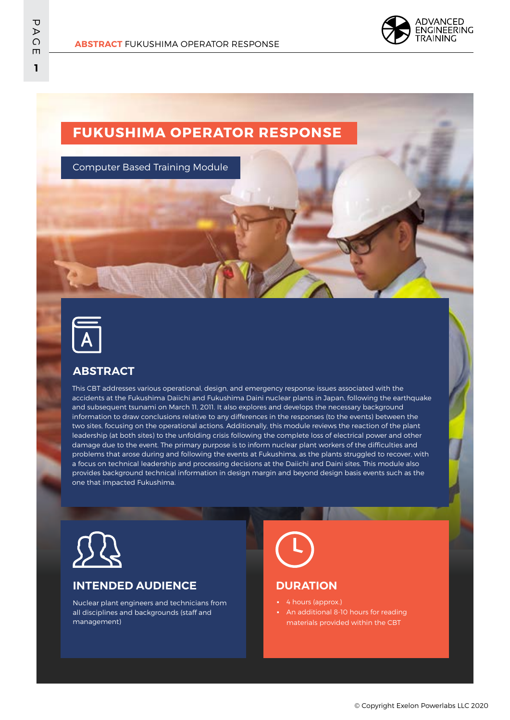

# **FUKUSHIMA OPERATOR RESPONSE**

Computer Based Training Module



## **ABSTRACT**

This CBT addresses various operational, design, and emergency response issues associated with the accidents at the Fukushima Daiichi and Fukushima Daini nuclear plants in Japan, following the earthquake and subsequent tsunami on March 11, 2011. It also explores and develops the necessary background information to draw conclusions relative to any differences in the responses (to the events) between the two sites, focusing on the operational actions. Additionally, this module reviews the reaction of the plant leadership (at both sites) to the unfolding crisis following the complete loss of electrical power and other damage due to the event. The primary purpose is to inform nuclear plant workers of the difficulties and problems that arose during and following the events at Fukushima, as the plants struggled to recover, with a focus on technical leadership and processing decisions at the Daiichi and Daini sites. This module also provides background technical information in design margin and beyond design basis events such as the one that impacted Fukushima.



## **INTENDED AUDIENCE**

Nuclear plant engineers and technicians from all disciplines and backgrounds (staff and management)



### **DURATION**

- 4 hours (approx.)
- **•** An additional 8-10 hours for reading materials provided within the CBT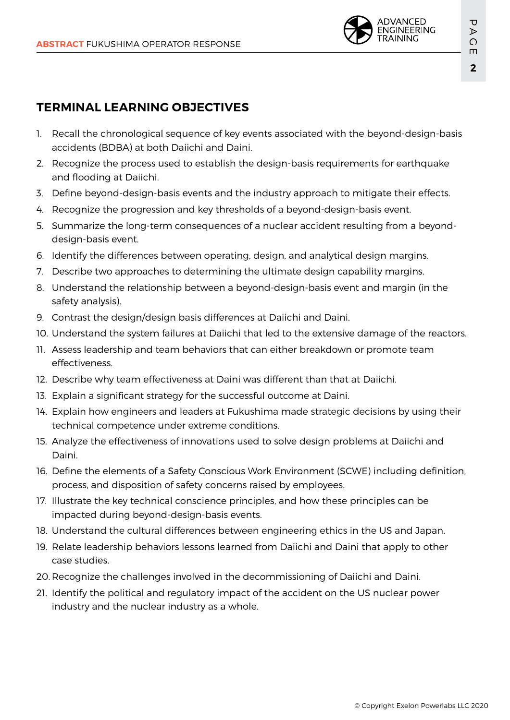

# **TERMINAL LEARNING OBJECTIVES**

- 1. Recall the chronological sequence of key events associated with the beyond-design-basis accidents (BDBA) at both Daiichi and Daini.
- 2. Recognize the process used to establish the design-basis requirements for earthquake and flooding at Daiichi.
- 3. Define beyond-design-basis events and the industry approach to mitigate their effects.
- 4. Recognize the progression and key thresholds of a beyond-design-basis event.
- 5. Summarize the long-term consequences of a nuclear accident resulting from a beyonddesign-basis event.
- 6. Identify the differences between operating, design, and analytical design margins.
- 7. Describe two approaches to determining the ultimate design capability margins.
- 8. Understand the relationship between a beyond-design-basis event and margin (in the safety analysis).
- 9. Contrast the design/design basis differences at Daiichi and Daini.
- 10. Understand the system failures at Daiichi that led to the extensive damage of the reactors.
- 11. Assess leadership and team behaviors that can either breakdown or promote team effectiveness.
- 12. Describe why team effectiveness at Daini was different than that at Daiichi.
- 13. Explain a significant strategy for the successful outcome at Daini.
- 14. Explain how engineers and leaders at Fukushima made strategic decisions by using their technical competence under extreme conditions.
- 15. Analyze the effectiveness of innovations used to solve design problems at Daiichi and Daini.
- 16. Define the elements of a Safety Conscious Work Environment (SCWE) including definition, process, and disposition of safety concerns raised by employees.
- 17. Illustrate the key technical conscience principles, and how these principles can be impacted during beyond-design-basis events.
- 18. Understand the cultural differences between engineering ethics in the US and Japan.
- 19. Relate leadership behaviors lessons learned from Daiichi and Daini that apply to other case studies.
- 20. Recognize the challenges involved in the decommissioning of Daiichi and Daini.
- 21. Identify the political and regulatory impact of the accident on the US nuclear power industry and the nuclear industry as a whole.